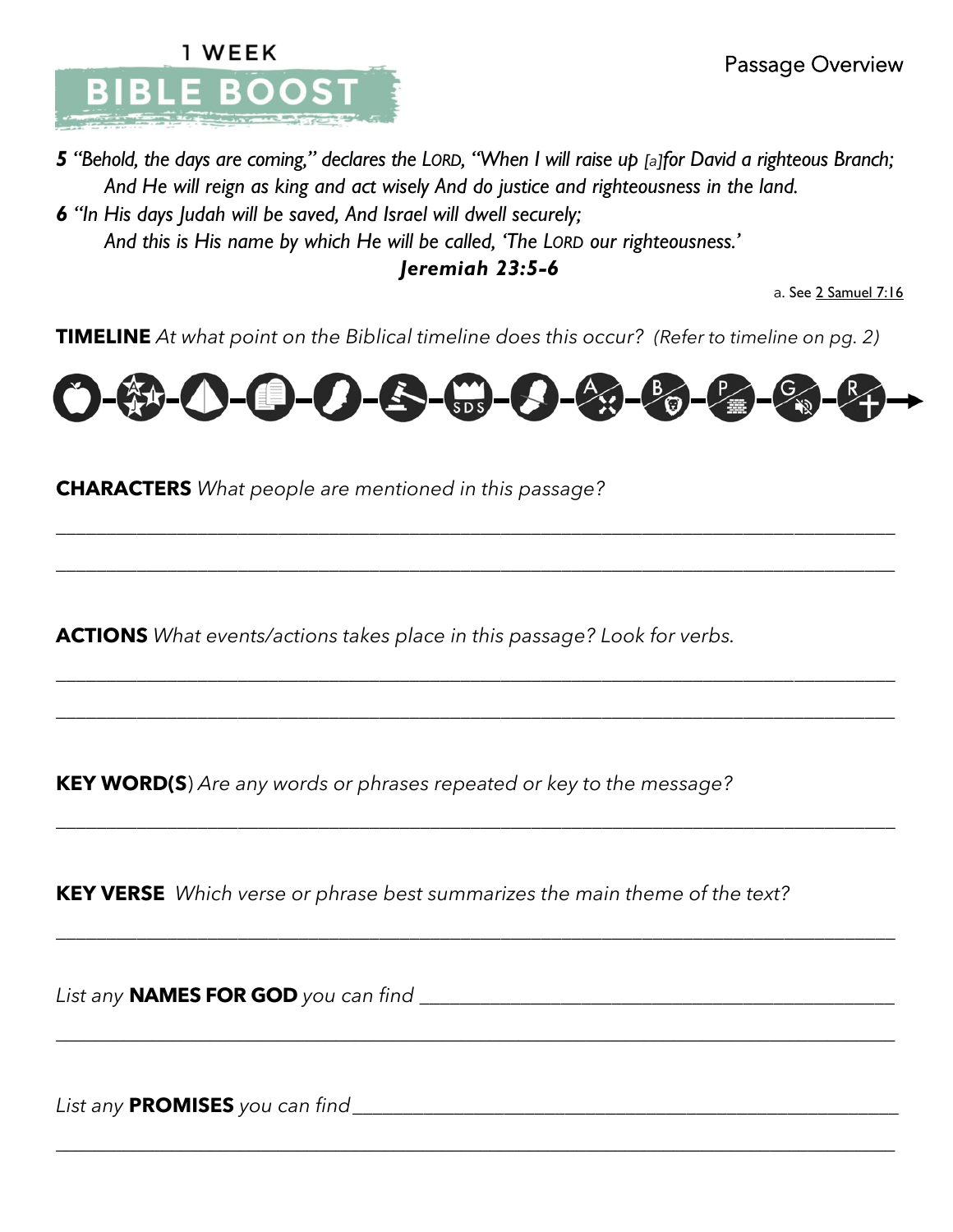

*5 "Behold, the days are coming," declares the LORD, "When I will raise up [a]for David a righteous Branch; And He will reign as king and act wisely And do justice and righteousness in the land.*

*6 "In His days Judah will be saved, And Israel will dwell securely; And this is His name by which He will be called, 'The LORD our righteousness.'*

*Jeremiah 23:5-6*

a. See 2 Samuel 7:16

**TIMELINE** *At what point on the Biblical timeline does this occur? (Refer to timeline on pg. 2)*



\_\_\_\_\_\_\_\_\_\_\_\_\_\_\_\_\_\_\_\_\_\_\_\_\_\_\_\_\_\_\_\_\_\_\_\_\_\_\_\_\_\_\_\_\_\_\_\_\_\_\_\_\_\_\_\_\_\_\_\_\_\_\_\_\_\_\_\_\_\_\_\_\_\_\_\_\_\_\_\_\_\_\_

\_\_\_\_\_\_\_\_\_\_\_\_\_\_\_\_\_\_\_\_\_\_\_\_\_\_\_\_\_\_\_\_\_\_\_\_\_\_\_\_\_\_\_\_\_\_\_\_\_\_\_\_\_\_\_\_\_\_\_\_\_\_\_\_\_\_\_\_\_\_\_\_\_\_\_\_\_\_\_\_\_\_\_

\_\_\_\_\_\_\_\_\_\_\_\_\_\_\_\_\_\_\_\_\_\_\_\_\_\_\_\_\_\_\_\_\_\_\_\_\_\_\_\_\_\_\_\_\_\_\_\_\_\_\_\_\_\_\_\_\_\_\_\_\_\_\_\_\_\_\_\_\_\_\_\_\_\_\_\_\_\_\_\_\_\_\_

\_\_\_\_\_\_\_\_\_\_\_\_\_\_\_\_\_\_\_\_\_\_\_\_\_\_\_\_\_\_\_\_\_\_\_\_\_\_\_\_\_\_\_\_\_\_\_\_\_\_\_\_\_\_\_\_\_\_\_\_\_\_\_\_\_\_\_\_\_\_\_\_\_\_\_\_\_\_\_\_\_\_\_

\_\_\_\_\_\_\_\_\_\_\_\_\_\_\_\_\_\_\_\_\_\_\_\_\_\_\_\_\_\_\_\_\_\_\_\_\_\_\_\_\_\_\_\_\_\_\_\_\_\_\_\_\_\_\_\_\_\_\_\_\_\_\_\_\_\_\_\_\_\_\_\_\_\_\_\_\_\_\_\_\_\_\_

\_\_\_\_\_\_\_\_\_\_\_\_\_\_\_\_\_\_\_\_\_\_\_\_\_\_\_\_\_\_\_\_\_\_\_\_\_\_\_\_\_\_\_\_\_\_\_\_\_\_\_\_\_\_\_\_\_\_\_\_\_\_\_\_\_\_\_\_\_\_\_\_\_\_\_\_\_\_\_\_\_\_\_

\_\_\_\_\_\_\_\_\_\_\_\_\_\_\_\_\_\_\_\_\_\_\_\_\_\_\_\_\_\_\_\_\_\_\_\_\_\_\_\_\_\_\_\_\_\_\_\_\_\_\_\_\_\_\_\_\_\_\_\_\_\_\_\_\_\_\_\_\_\_\_\_\_\_\_\_\_\_\_\_\_\_\_\_\_\_\_

\_\_\_\_\_\_\_\_\_\_\_\_\_\_\_\_\_\_\_\_\_\_\_\_\_\_\_\_\_\_\_\_\_\_\_\_\_\_\_\_\_\_\_\_\_\_\_\_\_\_\_\_\_\_\_\_\_\_\_\_\_\_\_\_\_\_\_\_\_\_\_\_\_\_\_\_\_\_\_\_\_\_\_\_\_\_\_

**CHARACTERS** *What people are mentioned in this passage?* 

**ACTIONS** *What events/actions takes place in this passage? Look for verbs.*

**KEY WORD(S**) *Are any words or phrases repeated or key to the message?*

**KEY VERSE** *Which verse or phrase best summarizes the main theme of the text?*

*List any* **NAMES FOR GOD** *you can find* \_\_\_\_\_\_\_\_\_\_\_\_\_\_\_\_\_\_\_\_\_\_\_\_\_\_\_\_\_\_\_\_\_\_\_\_\_\_\_\_\_\_\_\_\_\_\_

*List any* **PROMISES** *you can find\_\_\_\_\_\_\_*\_\_\_\_\_\_\_\_\_\_\_\_\_\_\_\_\_\_\_\_\_\_\_\_\_\_\_\_\_\_\_\_\_\_\_\_\_\_\_\_\_\_\_\_\_\_\_